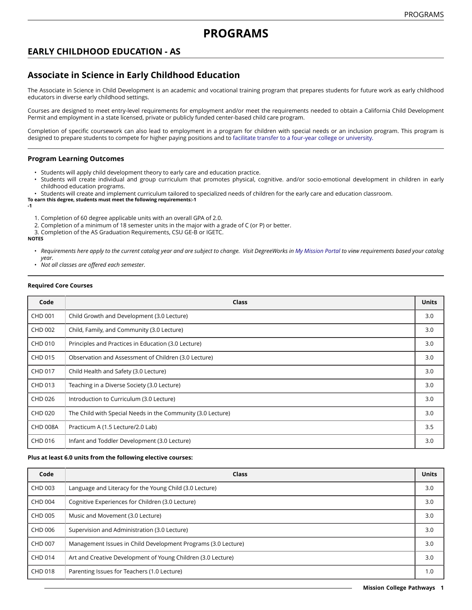# **EARLY CHILDHOOD EDUCATION - AS**

# **Associate in Science in Early Childhood Education**

The Associate in Science in Child Development is an academic and vocational training program that prepares students for future work as early childhood educators in diverse early childhood settings.

Courses are designed to meet entry-level requirements for employment and/or meet the requirements needed to obtain a California Child Development Permit and employment in a state licensed, private or publicly funded center-based child care program.

Completion of specific coursework can also lead to employment in a program for children with special needs or an inclusion program. This program is designed to prepare students to compete for higher paying positions and to facilitate transfer to a four-year college or [university.](https://missioncollege.edu/student_services/transfer)

### **Program Learning Outcomes**

- Students will apply child development theory to early care and education practice.
- Students will create individual and group curriculum that promotes physical, cognitive. and/or socio-emotional development in children in early childhood education programs.
- Students will create and implement curriculum tailored to specialized needs of children for the early care and education classroom.

**To earn this degree, students must meet the following requirements:-1 -1**

- 1. Completion of 60 degree applicable units with an overall GPA of 2.0.
- 2. Completion of a minimum of 18 semester units in the major with a grade of C (or P) or better.
- 3. Completion of the AS Graduation Requirements, CSU GE-B or IGETC.

#### **NOTES**

- Requirements here apply to the current catalog year and are subject to change. Visit DegreeWorks in [My Mission Portal](https://wvmccd.sharepoint.com/sites/MCPortal) to view requirements based your catalog *year.*
- *Not all classes are offered each semester.*

#### **Required Core Courses**

| Code            | Class                                                       | <b>Units</b> |
|-----------------|-------------------------------------------------------------|--------------|
| <b>CHD 001</b>  | Child Growth and Development (3.0 Lecture)                  | 3.0          |
| <b>CHD 002</b>  | Child, Family, and Community (3.0 Lecture)                  | 3.0          |
| CHD 010         | Principles and Practices in Education (3.0 Lecture)         | 3.0          |
| CHD 015         | Observation and Assessment of Children (3.0 Lecture)        | 3.0          |
| CHD 017         | Child Health and Safety (3.0 Lecture)                       | 3.0          |
| CHD 013         | Teaching in a Diverse Society (3.0 Lecture)                 | 3.0          |
| CHD 026         | Introduction to Curriculum (3.0 Lecture)                    | 3.0          |
| CHD 020         | The Child with Special Needs in the Community (3.0 Lecture) | 3.0          |
| <b>CHD 008A</b> | Practicum A (1.5 Lecture/2.0 Lab)                           | 3.5          |
| CHD 016         | Infant and Toddler Development (3.0 Lecture)                | 3.0          |

### **Plus at least 6.0 units from the following elective courses:**

| Code           | Class                                                         | <b>Units</b> |
|----------------|---------------------------------------------------------------|--------------|
| CHD 003        | Language and Literacy for the Young Child (3.0 Lecture)       | 3.0          |
| <b>CHD 004</b> | Cognitive Experiences for Children (3.0 Lecture)              | 3.0          |
| CHD 005        | Music and Movement (3.0 Lecture)                              | 3.0          |
| CHD 006        | Supervision and Administration (3.0 Lecture)                  | 3.0          |
| CHD 007        | Management Issues in Child Development Programs (3.0 Lecture) | 3.0          |
| <b>CHD 014</b> | Art and Creative Development of Young Children (3.0 Lecture)  | 3.0          |
| <b>CHD 018</b> | Parenting Issues for Teachers (1.0 Lecture)                   | 1.0          |